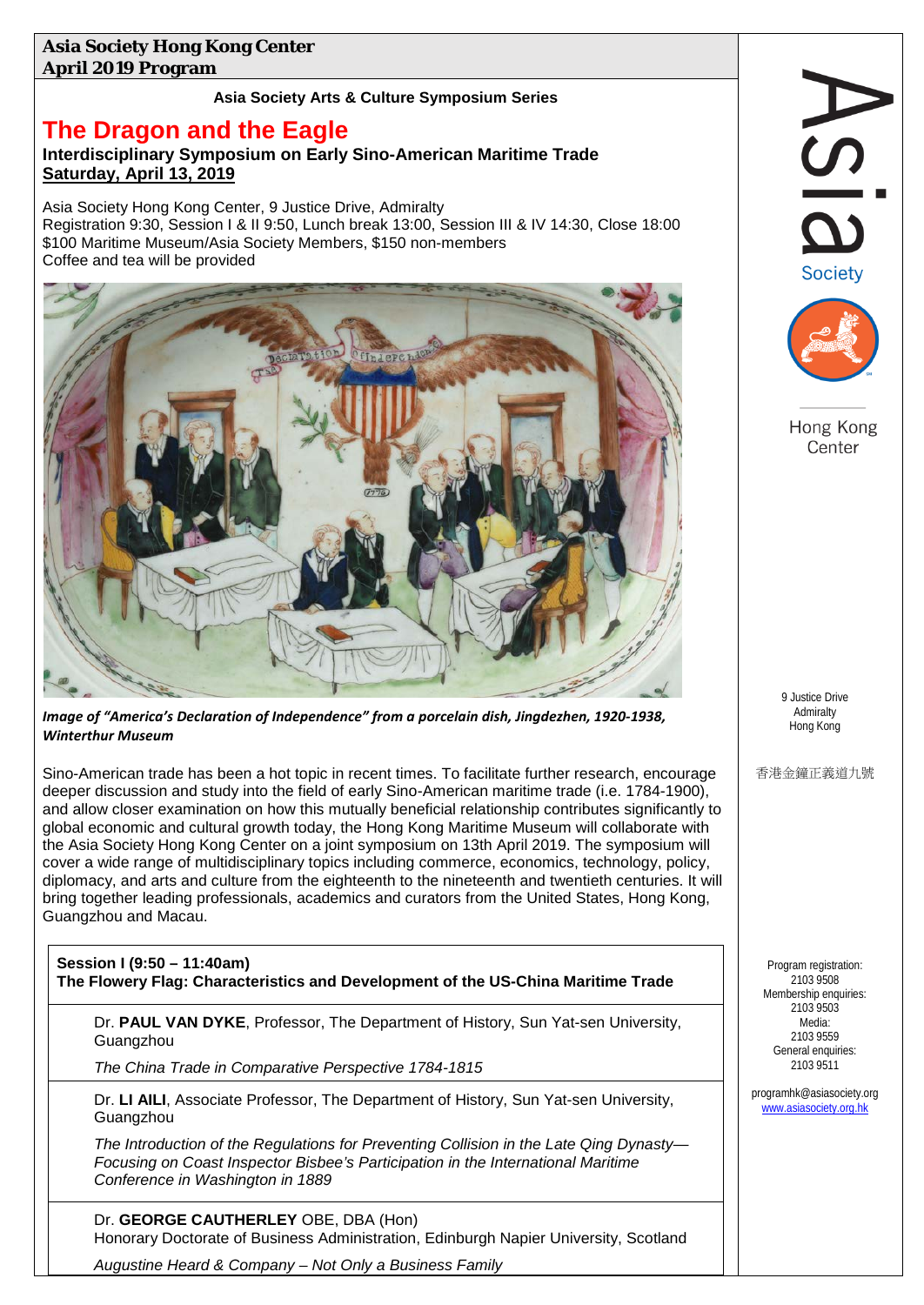## **Asia Society Hong Kong Center April 2019 Program**

## **Asia Society Arts & Culture Symposium Series**

## **The Dragon and the Eagle**

## **Interdisciplinary Symposium on Early Sino-American Maritime Trade Saturday, April 13, 2019**

Asia Society Hong Kong Center, 9 Justice Drive, Admiralty Registration 9:30, Session I & II 9:50, Lunch break 13:00, Session III & IV 14:30, Close 18:00 \$100 Maritime Museum/Asia Society Members, \$150 non-members Coffee and tea will be provided



*Image of "America's Declaration of Independence" from a porcelain dish, Jingdezhen, 1920-1938, Winterthur Museum*

Sino-American trade has been a hot topic in recent times. To facilitate further research, encourage deeper discussion and study into the field of early Sino-American maritime trade (i.e. 1784-1900), and allow closer examination on how this mutually beneficial relationship contributes significantly to global economic and cultural growth today, the Hong Kong Maritime Museum will collaborate with the Asia Society Hong Kong Center on a joint symposium on 13th April 2019. The symposium will cover a wide range of multidisciplinary topics including commerce, economics, technology, policy, diplomacy, and arts and culture from the eighteenth to the nineteenth and twentieth centuries. It will bring together leading professionals, academics and curators from the United States, Hong Kong, Guangzhou and Macau.

**Session I (9:50 – 11:40am) The Flowery Flag: Characteristics and Development of the US-China Maritime Trade**

Dr. **PAUL VAN DYKE**, Professor, The Department of History, Sun Yat-sen University, Guangzhou

*The China Trade in Comparative Perspective 1784-1815*

Dr. **LI AILI**, Associate Professor, The Department of History, Sun Yat-sen University, Guangzhou

*The Introduction of the Regulations for Preventing Collision in the Late Qing Dynasty— Focusing on Coast Inspector Bisbee's Participation in the International Maritime Conference in Washington in 1889*

Dr. **GEORGE CAUTHERLEY** OBE, DBA (Hon) Honorary Doctorate of Business Administration, Edinburgh Napier University, Scotland

*Augustine Heard & Company – Not Only a Business Family*

| <b>Society</b>                                                                                                                                                  |
|-----------------------------------------------------------------------------------------------------------------------------------------------------------------|
| Hong Kong<br>Center                                                                                                                                             |
| 9 Justice Drive                                                                                                                                                 |
| Admiralty<br>Hong Kong<br>香港金鐘正義道九號                                                                                                                             |
| Program registration:<br>2103 9508<br>Membership enquiries:<br>2103 9503<br>Media:<br>2103 9559<br>General enquiries:<br>2103 9511<br>orogramhk@asiasociety.org |
| www.asiasociety.org.hk                                                                                                                                          |

prog